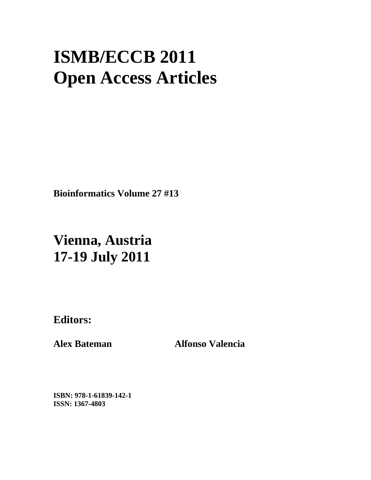# **ISMB/ECCB 2011 Open Access Articles**

**Bioinformatics Volume 27 #13** 

# **Vienna, Austria 17-19 July 2011**

**Editors:** 

**Alex Bateman Alfonso Valencia** 

**ISBN: 978-1-61839-142-1 ISSN: 1367-4803**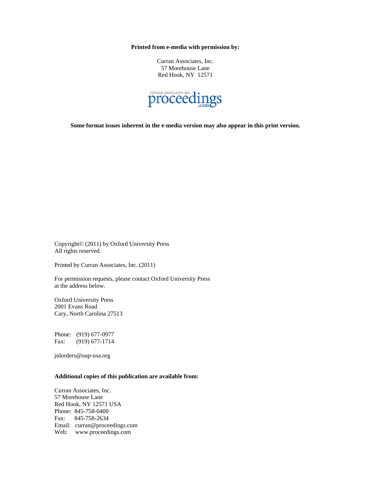**Printed from e-media with permission by:** 

Curran Associates, Inc. 57 Morehouse Lane Red Hook, NY 12571



**Some format issues inherent in the e-media version may also appear in this print version.** 

Copyright© (2011) by Oxford University Press All rights reserved.

Printed by Curran Associates, Inc. (2011)

For permission requests, please contact Oxford University Press at the address below.

Oxford University Press 2001 Evans Road Cary, North Carolina 27513

Phone: (919) 677-0977 Fax: (919) 677-1714

jnlorders@oup-usa.org

#### **Additional copies of this publication are available from:**

Curran Associates, Inc. 57 Morehouse Lane Red Hook, NY 12571 USA Phone: 845-758-0400 Fax: 845-758-2634 Email: curran@proceedings.com Web: www.proceedings.com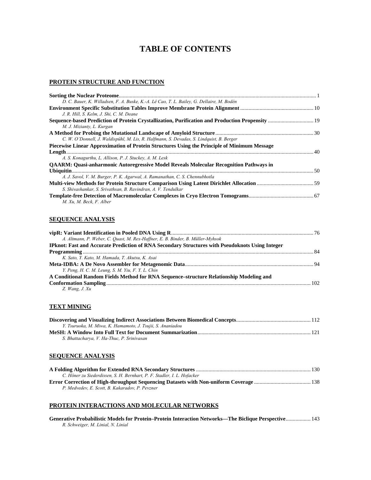# **TABLE OF CONTENTS**

#### **PROTEIN STRUCTURE AND FUNCTION**

| D. C. Bauer, K. Willadsen, F. A. Buske, K.-A. Lê Cao, T. L. Bailey, G. Dellaire, M. Bodén     |  |
|-----------------------------------------------------------------------------------------------|--|
|                                                                                               |  |
| J. R. Hill. S. Kelm. J. Shi. C. M. Deane                                                      |  |
| M. J. Mizianty, L. Kurgan                                                                     |  |
|                                                                                               |  |
| C. W. O'Donnell, J. Waldispühl, M. Lis, R. Halfmann, S. Devadas, S. Lindquist, B. Berger      |  |
| Piecewise Linear Approximation of Protein Structures Using the Principle of Minimum Message   |  |
|                                                                                               |  |
| A. S. Konagurthu, L. Allison, P. J. Stuckey, A. M. Lesk                                       |  |
| <b>QAARM: Quasi-anharmonic Autoregressive Model Reveals Molecular Recognition Pathways in</b> |  |
|                                                                                               |  |
| A. J. Savol, V. M. Burger, P. K. Agarwal, A. Ramanathan, C. S. Chennubhotla                   |  |
|                                                                                               |  |
| S. Shivashankar, S. Srivathsan, B. Ravindran, A. V. Tendulkar                                 |  |
| M. Xu, M. Beck, F. Alber                                                                      |  |

#### **SEQUENCE ANALYSIS**

| A. Altmann, P. Weber, C. Quast, M. Rex-Haffner, E. B. Binder, B. Müller-Myhsok                         |  |
|--------------------------------------------------------------------------------------------------------|--|
| <b>IPknot: Fast and Accurate Prediction of RNA Secondary Structures with Pseudoknots Using Integer</b> |  |
|                                                                                                        |  |
| K. Sato, Y. Kato, M. Hamada, T. Akutsu, K. Asai                                                        |  |
|                                                                                                        |  |
| Y. Peng, H. C. M. Leung, S. M. Yiu, F. Y. L. Chin                                                      |  |
| A Conditional Random Fields Method for RNA Sequence-structure Relationship Modeling and                |  |
|                                                                                                        |  |
| Z. Wang, J. Xu                                                                                         |  |

#### **TEXT MINING**

| Y. Tsuruoka, M. Miwa, K. Hamamoto, J. Tsujii, S. Ananiadou |  |
|------------------------------------------------------------|--|
|                                                            |  |
| S. Bhattacharya, V. Ha-Thuc, P. Srinivasan                 |  |

#### **SEQUENCE ANALYSIS**

| C. Höner zu Siederdissen, S. H. Bernhart, P. F. Stadler, I. L. Hofacker |  |
|-------------------------------------------------------------------------|--|
|                                                                         |  |
| P. Medvedev, E. Scott, B. Kakaradov, P. Pevzner                         |  |

#### **PROTEIN INTERACTIONS AND MOLECULAR NETWORKS**

**Generative Probabilistic Models for Protein–Protein Interaction Networks—The Biclique Perspective**.................. 143 *R. Schweiger, M. Linial, N. Linial*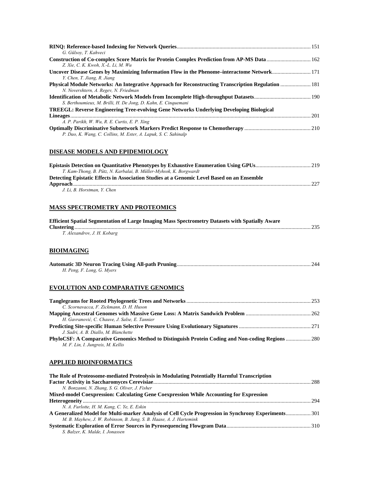| G. Gülsov, T. Kahveci                                                                                                              |  |
|------------------------------------------------------------------------------------------------------------------------------------|--|
| Construction of Co-complex Score Matrix for Protein Complex Prediction from AP-MS Data 162                                         |  |
| Z. Xie, C. K. Kwoh, X.-L. Li. M. Wu<br>Uncover Disease Genes by Maximizing Information Flow in the Phenome–interactome Network 171 |  |
| Y. Chen, T. Jiang, R. Jiang                                                                                                        |  |
| <b>Physical Module Networks: An Integrative Approach for Reconstructing Transcription Regulation  181</b>                          |  |
| N. Novershtern, A. Regev, N. Friedman                                                                                              |  |
| S. Berthoumieux, M. Brilli, H. De Jong, D. Kahn, E. Cinquemani                                                                     |  |
| <b>TREEGL: Reverse Engineering Tree-evolving Gene Networks Underlying Developing Biological</b>                                    |  |
|                                                                                                                                    |  |
| A. P. Parikh, W. Wu, R. E. Curtis, E. P. Xing                                                                                      |  |
| P. Dao, K. Wang, C. Collins, M. Ester, A. Lapuk, S. C. Sahinalp                                                                    |  |

#### **DISEASE MODELS AND EPIDEMIOLOGY**

| T. Kam-Thong, B. Pütz, N. Karbalai, B. Müller-Myhsok, K. Borgwardt                         |  |
|--------------------------------------------------------------------------------------------|--|
| Detecting Epistatic Effects in Association Studies at a Genomic Level Based on an Ensemble |  |
|                                                                                            |  |
| J. Li. B. Horstman. Y. Chen                                                                |  |

#### **MASS SPECTROMETRY AND PROTEOMICS**

| <b>Efficient Spatial Segmentation of Large Imaging Mass Spectrometry Datasets with Spatially Aware</b> |  |
|--------------------------------------------------------------------------------------------------------|--|
|                                                                                                        |  |
| T. Alexandrov, J. H. Kobarg                                                                            |  |

## **BIOIMAGING**

| H. Peng, F. Long, G. Myers |  |
|----------------------------|--|

## **EVOLUTION AND COMPARATIVE GENOMICS**

| C. Scornavacca, F. Zickmann, D. H. Huson                                                          |  |
|---------------------------------------------------------------------------------------------------|--|
|                                                                                                   |  |
| H. Gavranović, C. Chauve, J. Salse, E. Tannier                                                    |  |
|                                                                                                   |  |
| J. Sadri, A. B. Diallo, M. Blanchette                                                             |  |
| PhyloCSF: A Comparative Genomics Method to Distinguish Protein Coding and Non-coding Regions  280 |  |
| M. F. Lin, I. Jungreis, M. Kellis                                                                 |  |

#### **APPLIED BIOINFORMATICS**

| The Role of Proteosome-mediated Proteolysis in Modulating Potentially Harmful Transcription          |  |
|------------------------------------------------------------------------------------------------------|--|
|                                                                                                      |  |
| N. Bonzanni, N. Zhang, S. G. Oliver, J. Fisher                                                       |  |
| Mixed-model Coexpression: Calculating Gene Coexpression While Accounting for Expression              |  |
|                                                                                                      |  |
| N. A. Furlotte, H. M. Kang, C. Ye, E. Eskin                                                          |  |
| A Generalized Model for Multi-marker Analysis of Cell Cycle Progression in Synchrony Experiments 301 |  |
| M. B. Mayhew, J. W. Robinson, B. Jung, S. B. Haase, A. J. Hartemink                                  |  |
|                                                                                                      |  |
| S. Balzer, K. Malde, I. Jonassen                                                                     |  |